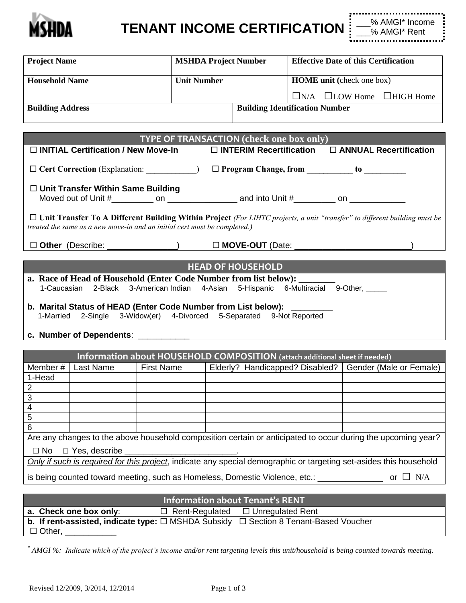

**TENANT INCOME CERTIFICATION**

| <b>Project Name</b>     | <b>MSHDA Project Number</b> |                                       | <b>Effective Date of this Certification</b> |                                             |  |
|-------------------------|-----------------------------|---------------------------------------|---------------------------------------------|---------------------------------------------|--|
| <b>Household Name</b>   | <b>Unit Number</b>          |                                       | <b>HOME</b> unit (check one box)            |                                             |  |
|                         |                             |                                       |                                             | $\Box$ N/A $\Box$ LOW Home $\Box$ HIGH Home |  |
| <b>Building Address</b> |                             | <b>Building Identification Number</b> |                                             |                                             |  |

| <b>TYPE OF TRANSACTION (check one box only)</b>                                                                                               |                                                            |  |  |  |  |  |
|-----------------------------------------------------------------------------------------------------------------------------------------------|------------------------------------------------------------|--|--|--|--|--|
| $\Box$ INTERIM Recertification $\Box$ ANNUAL Recertification<br>$\Box$ INITIAL Certification / New Move-In                                    |                                                            |  |  |  |  |  |
| $\Box$ Cert Correction (Explanation: )                                                                                                        | $\Box$ Program Change, from _____________ to _____________ |  |  |  |  |  |
| $\Box$ Unit Transfer Within Same Building                                                                                                     |                                                            |  |  |  |  |  |
|                                                                                                                                               |                                                            |  |  |  |  |  |
| $\Box$ Unit Tyongfou To A Different Duilding Within Duciect $\Box$ UUTC was seen a with $\theta$ was fully in this different building word by |                                                            |  |  |  |  |  |

 **Unit Transfer To A Different Building Within Project** *(For LIHTC projects, a unit "transfer" to different building must be treated the same as a new move-in and an initial cert must be completed.)*

□ **Other** (Describe: \_\_\_\_\_\_\_\_\_\_\_\_\_\_\_\_\_\_) □ **MOVE-OUT** (Date:

## **HEAD OF HOUSEHOLD**

- **a. Race of Head of Household (Enter Code Number from list below):** 1-Caucasian 2-Black 3-American Indian 4-Asian 5-Hispanic 6-Multiracial 9-Other, \_\_\_\_\_
- **b. Marital Status of HEAD (Enter Code Number from List below):** 1-Married 2-Single 3-Widow(er) 4-Divorced 5-Separated 9-Not Reported
- **c. Number of Dependents**: \_\_\_\_\_\_\_\_\_\_\_

| Information about HOUSEHOLD COMPOSITION (attach additional sheet if needed)                                        |                                                                                                          |                   |                                                           |  |  |  |
|--------------------------------------------------------------------------------------------------------------------|----------------------------------------------------------------------------------------------------------|-------------------|-----------------------------------------------------------|--|--|--|
| Member#                                                                                                            | Last Name                                                                                                | <b>First Name</b> | Elderly? Handicapped? Disabled?   Gender (Male or Female) |  |  |  |
| 1-Head                                                                                                             |                                                                                                          |                   |                                                           |  |  |  |
| 2                                                                                                                  |                                                                                                          |                   |                                                           |  |  |  |
| 3                                                                                                                  |                                                                                                          |                   |                                                           |  |  |  |
| 4                                                                                                                  |                                                                                                          |                   |                                                           |  |  |  |
| 5                                                                                                                  |                                                                                                          |                   |                                                           |  |  |  |
| 6                                                                                                                  |                                                                                                          |                   |                                                           |  |  |  |
| Are any changes to the above household composition certain or anticipated to occur during the upcoming year?       |                                                                                                          |                   |                                                           |  |  |  |
|                                                                                                                    | $\Box$ No $\Box$ Yes, describe                                                                           |                   |                                                           |  |  |  |
| Only if such is required for this project, indicate any special demographic or targeting set-asides this household |                                                                                                          |                   |                                                           |  |  |  |
|                                                                                                                    | is being counted toward meeting, such as Homeless, Domestic Violence, etc.: ___________<br>or $\Box$ N/A |                   |                                                           |  |  |  |

| <b>Information about Tenant's RENT</b>                                                         |  |                                               |  |  |  |
|------------------------------------------------------------------------------------------------|--|-----------------------------------------------|--|--|--|
| a. Check one box only:                                                                         |  | $\Box$ Rent-Regulated $\Box$ Unregulated Rent |  |  |  |
| b. If rent-assisted, indicate type: $\Box$ MSHDA Subsidy $\Box$ Section 8 Tenant-Based Voucher |  |                                               |  |  |  |
| $\Box$ Other,                                                                                  |  |                                               |  |  |  |

*\* AMGI %: Indicate which of the project's income and/or rent targeting levels this unit/household is being counted towards meeting.*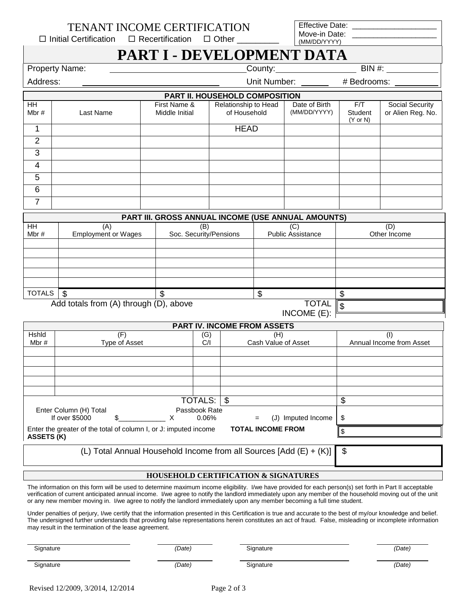$\Box$  Initial Certification  $\Box$  Recertification  $\Box$  Other

Effective Date: Move-in Date: (MM/DD/YYYY)

## **PART I - DEVELOPMENT DATA**

| <b>Property Name:</b> | County: | BIN |
|-----------------------|---------|-----|
|-----------------------|---------|-----|

| Address: |
|----------|
|          |

Unit Number: # Bedrooms:

| PART II. HOUSEHOLD COMPOSITION |           |                                |                                      |                               |                                       |                                      |
|--------------------------------|-----------|--------------------------------|--------------------------------------|-------------------------------|---------------------------------------|--------------------------------------|
| <b>HH</b><br>Mbr#              | Last Name | First Name &<br>Middle Initial | Relationship to Head<br>of Household | Date of Birth<br>(MM/DD/YYYY) | F/T<br>Student<br>$(Y \text{ or } N)$ | Social Security<br>or Alien Reg. No. |
|                                |           |                                | <b>HEAD</b>                          |                               |                                       |                                      |
| 2                              |           |                                |                                      |                               |                                       |                                      |
| 3                              |           |                                |                                      |                               |                                       |                                      |
| 4                              |           |                                |                                      |                               |                                       |                                      |
| 5                              |           |                                |                                      |                               |                                       |                                      |
| 6                              |           |                                |                                      |                               |                                       |                                      |
|                                |           |                                |                                      |                               |                                       |                                      |

| PART III. GROSS ANNUAL INCOME (USE ANNUAL AMOUNTS) |                                        |                        |                          |              |  |  |  |
|----------------------------------------------------|----------------------------------------|------------------------|--------------------------|--------------|--|--|--|
| <b>HH</b>                                          | (A)                                    | (B)                    | (C)                      | (D           |  |  |  |
| Mbr#                                               | <b>Employment or Wages</b>             | Soc. Security/Pensions | <b>Public Assistance</b> | Other Income |  |  |  |
|                                                    |                                        |                        |                          |              |  |  |  |
|                                                    |                                        |                        |                          |              |  |  |  |
|                                                    |                                        |                        |                          |              |  |  |  |
|                                                    |                                        |                        |                          |              |  |  |  |
|                                                    |                                        |                        |                          |              |  |  |  |
| <b>TOTALS</b>                                      | \$                                     |                        | \$                       |              |  |  |  |
|                                                    | Add totals from (A) through (D), above |                        |                          |              |  |  |  |
|                                                    | $INCOME(E)$ :                          |                        |                          |              |  |  |  |

|  |                                    | $\sim$ |  |
|--|------------------------------------|--------|--|
|  | <b>PART IV. INCOME FROM ASSETS</b> |        |  |

| _____________________________________ |                                                                  |                    |                                             |                          |  |  |
|---------------------------------------|------------------------------------------------------------------|--------------------|---------------------------------------------|--------------------------|--|--|
| <b>Hshid</b>                          | (F                                                               | (G)                | (H)                                         |                          |  |  |
| Mbr#                                  | Type of Asset                                                    | C/I                | Cash Value of Asset                         | Annual Income from Asset |  |  |
|                                       |                                                                  |                    |                                             |                          |  |  |
|                                       |                                                                  |                    |                                             |                          |  |  |
|                                       |                                                                  |                    |                                             |                          |  |  |
|                                       |                                                                  |                    |                                             |                          |  |  |
|                                       |                                                                  |                    |                                             |                          |  |  |
|                                       |                                                                  | TOTALS: \\$        |                                             | \$                       |  |  |
|                                       | Enter Column (H) Total                                           | Passbook Rate      |                                             |                          |  |  |
|                                       | If over \$5000                                                   | 0.06%              | Imputed Income<br>(J).<br>$\qquad \qquad =$ | \$                       |  |  |
|                                       | Enter the greater of the total of column I, or J: imputed income |                    |                                             |                          |  |  |
| <b>ASSETS (K)</b>                     |                                                                  |                    |                                             |                          |  |  |
|                                       | $\cdots$ $\cdots$                                                | .<br>$\sim$ $\sim$ | $\cdots$<br>. <i>. .</i>                    | $\overline{\phantom{a}}$ |  |  |

(L) Total Annual Household Income from all Sources  $[Add (E) + (K)]$  \$

## **HOUSEHOLD CERTIFICATION & SIGNATURES**

The information on this form will be used to determine maximum income eligibility. I/we have provided for each person(s) set forth in Part II acceptable verification of current anticipated annual income. I/we agree to notify the landlord immediately upon any member of the household moving out of the unit or any new member moving in. I/we agree to notify the landlord immediately upon any member becoming a full time student.

Under penalties of perjury, I/we certify that the information presented in this Certification is true and accurate to the best of my/our knowledge and belief. The undersigned further understands that providing false representations herein constitutes an act of fraud. False, misleading or incomplete information may result in the termination of the lease agreement.

| <b>.</b><br>Signature | (Date)      | <b>.</b><br><i>i</i> gnature | , <i>Date`</i>  |
|-----------------------|-------------|------------------------------|-----------------|
| Signature<br>- ס<br>. | (Date)<br>. | $\sim$<br>ignature<br>.      | , <i>Date</i> ≀ |